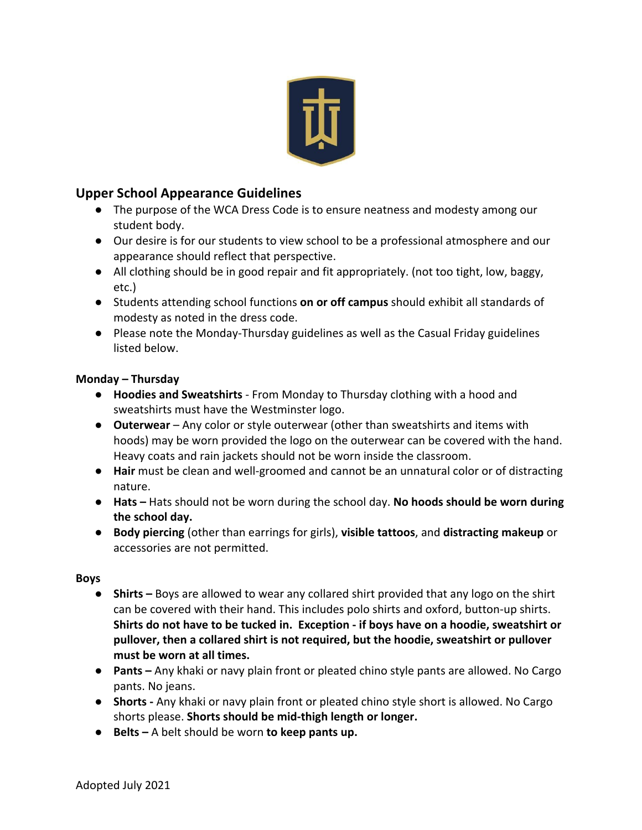

## **Upper School Appearance Guidelines**

- The purpose of the WCA Dress Code is to ensure neatness and modesty among our student body.
- Our desire is for our students to view school to be a professional atmosphere and our appearance should reflect that perspective.
- All clothing should be in good repair and fit appropriately. (not too tight, low, baggy, etc.)
- Students attending school functions **on or off campus** should exhibit all standards of modesty as noted in the dress code.
- Please note the Monday-Thursday guidelines as well as the Casual Friday guidelines listed below.

### **Monday – Thursday**

- **Hoodies and Sweatshirts**  From Monday to Thursday clothing with a hood and sweatshirts must have the Westminster logo.
- **Outerwear** Any color or style outerwear (other than sweatshirts and items with hoods) may be worn provided the logo on the outerwear can be covered with the hand. Heavy coats and rain jackets should not be worn inside the classroom.
- **Hair** must be clean and well-groomed and cannot be an unnatural color or of distracting nature.
- **Hats –** Hats should not be worn during the school day. **No hoods should be worn during the school day.**
- **Body piercing** (other than earrings for girls), **visible tattoos**, and **distracting makeup** or accessories are not permitted.

### **Boys**

- **Shirts –** Boys are allowed to wear any collared shirt provided that any logo on the shirt can be covered with their hand. This includes polo shirts and oxford, button-up shirts. **Shirts do not have to be tucked in. Exception - if boys have on a hoodie, sweatshirt or pullover, then a collared shirt is not required, but the hoodie, sweatshirt or pullover must be worn at all times.**
- **Pants –** Any khaki or navy plain front or pleated chino style pants are allowed. No Cargo pants. No jeans.
- **Shorts -** Any khaki or navy plain front or pleated chino style short is allowed. No Cargo shorts please. **Shorts should be mid-thigh length or longer.**
- **Belts –** A belt should be worn **to keep pants up.**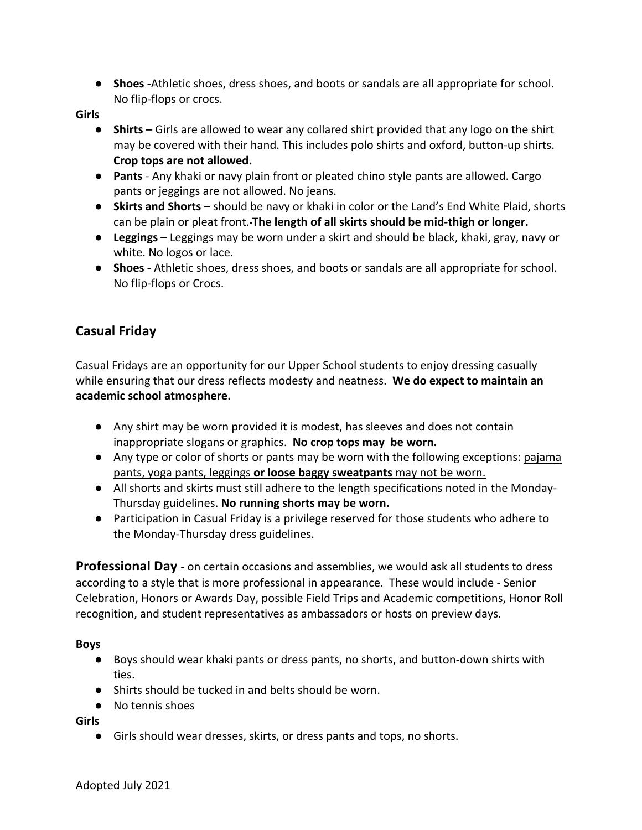● **Shoes** -Athletic shoes, dress shoes, and boots or sandals are all appropriate for school. No flip-flops or crocs.

**Girls**

- **Shirts –** Girls are allowed to wear any collared shirt provided that any logo on the shirt may be covered with their hand. This includes polo shirts and oxford, button-up shirts. **Crop tops are not allowed.**
- **Pants**  Any khaki or navy plain front or pleated chino style pants are allowed. Cargo pants or jeggings are not allowed. No jeans.
- **Skirts and Shorts –** should be navy or khaki in color or the Land's End White Plaid, shorts can be plain or pleat front. **The length of all skirts should be mid-thigh or longer.**
- **Leggings –** Leggings may be worn under a skirt and should be black, khaki, gray, navy or white. No logos or lace.
- **Shoes -** Athletic shoes, dress shoes, and boots or sandals are all appropriate for school. No flip-flops or Crocs.

# **Casual Friday**

Casual Fridays are an opportunity for our Upper School students to enjoy dressing casually while ensuring that our dress reflects modesty and neatness. **We do expect to maintain an academic school atmosphere.** 

- Any shirt may be worn provided it is modest, has sleeves and does not contain inappropriate slogans or graphics. **No crop tops may be worn.**
- Any type or color of shorts or pants may be worn with the following exceptions: pajama pants, yoga pants, leggings **or loose baggy sweatpants** may not be worn.
- All shorts and skirts must still adhere to the length specifications noted in the Monday-Thursday guidelines. **No running shorts may be worn.**
- Participation in Casual Friday is a privilege reserved for those students who adhere to the Monday-Thursday dress guidelines.

**Professional Day -** on certain occasions and assemblies, we would ask all students to dress according to a style that is more professional in appearance. These would include - Senior Celebration, Honors or Awards Day, possible Field Trips and Academic competitions, Honor Roll recognition, and student representatives as ambassadors or hosts on preview days.

#### **Boys**

- Boys should wear khaki pants or dress pants, no shorts, and button-down shirts with ties.
- Shirts should be tucked in and belts should be worn.
- No tennis shoes

**Girls**

● Girls should wear dresses, skirts, or dress pants and tops, no shorts.